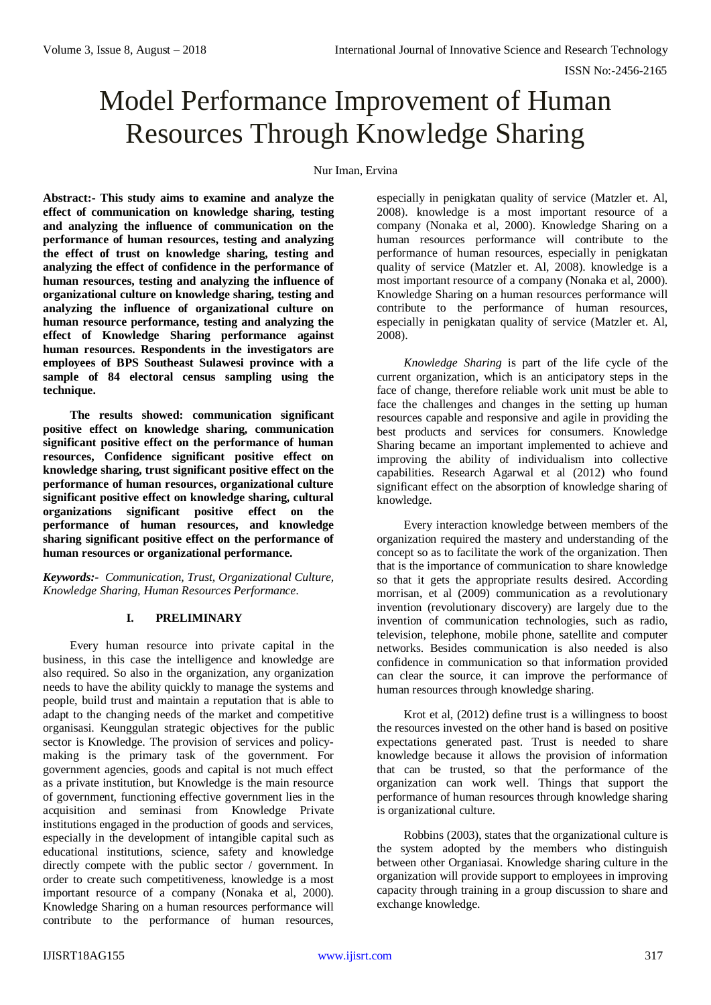# Model Performance Improvement of Human Resources Through Knowledge Sharing

Nur Iman, Ervina

**Abstract:- This study aims to examine and analyze the effect of communication on knowledge sharing, testing and analyzing the influence of communication on the performance of human resources, testing and analyzing the effect of trust on knowledge sharing, testing and analyzing the effect of confidence in the performance of human resources, testing and analyzing the influence of organizational culture on knowledge sharing, testing and analyzing the influence of organizational culture on human resource performance, testing and analyzing the effect of Knowledge Sharing performance against human resources. Respondents in the investigators are employees of BPS Southeast Sulawesi province with a sample of 84 electoral census sampling using the technique.**

**The results showed: communication significant positive effect on knowledge sharing, communication significant positive effect on the performance of human resources, Confidence significant positive effect on knowledge sharing, trust significant positive effect on the performance of human resources, organizational culture significant positive effect on knowledge sharing, cultural organizations significant positive effect on the performance of human resources, and knowledge sharing significant positive effect on the performance of human resources or organizational performance.**

*Keywords:- Communication, Trust, Organizational Culture, Knowledge Sharing, Human Resources Performance.*

## **I. PRELIMINARY**

Every human resource into private capital in the business, in this case the intelligence and knowledge are also required. So also in the organization, any organization needs to have the ability quickly to manage the systems and people, build trust and maintain a reputation that is able to adapt to the changing needs of the market and competitive organisasi. Keunggulan strategic objectives for the public sector is Knowledge. The provision of services and policymaking is the primary task of the government. For government agencies, goods and capital is not much effect as a private institution, but Knowledge is the main resource of government, functioning effective government lies in the acquisition and seminasi from Knowledge Private institutions engaged in the production of goods and services, especially in the development of intangible capital such as educational institutions, science, safety and knowledge directly compete with the public sector / government. In order to create such competitiveness, knowledge is a most important resource of a company (Nonaka et al, 2000). Knowledge Sharing on a human resources performance will contribute to the performance of human resources,

especially in penigkatan quality of service (Matzler et. Al, 2008). knowledge is a most important resource of a company (Nonaka et al, 2000). Knowledge Sharing on a human resources performance will contribute to the performance of human resources, especially in penigkatan quality of service (Matzler et. Al, 2008). knowledge is a most important resource of a company (Nonaka et al, 2000). Knowledge Sharing on a human resources performance will contribute to the performance of human resources, especially in penigkatan quality of service (Matzler et. Al, 2008).

*Knowledge Sharing* is part of the life cycle of the current organization, which is an anticipatory steps in the face of change, therefore reliable work unit must be able to face the challenges and changes in the setting up human resources capable and responsive and agile in providing the best products and services for consumers. Knowledge Sharing became an important implemented to achieve and improving the ability of individualism into collective capabilities. Research Agarwal et al (2012) who found significant effect on the absorption of knowledge sharing of knowledge.

Every interaction knowledge between members of the organization required the mastery and understanding of the concept so as to facilitate the work of the organization. Then that is the importance of communication to share knowledge so that it gets the appropriate results desired. According morrisan, et al (2009) communication as a revolutionary invention (revolutionary discovery) are largely due to the invention of communication technologies, such as radio, television, telephone, mobile phone, satellite and computer networks. Besides communication is also needed is also confidence in communication so that information provided can clear the source, it can improve the performance of human resources through knowledge sharing.

Krot et al, (2012) define trust is a willingness to boost the resources invested on the other hand is based on positive expectations generated past. Trust is needed to share knowledge because it allows the provision of information that can be trusted, so that the performance of the organization can work well. Things that support the performance of human resources through knowledge sharing is organizational culture.

Robbins (2003), states that the organizational culture is the system adopted by the members who distinguish between other Organiasai. Knowledge sharing culture in the organization will provide support to employees in improving capacity through training in a group discussion to share and exchange knowledge.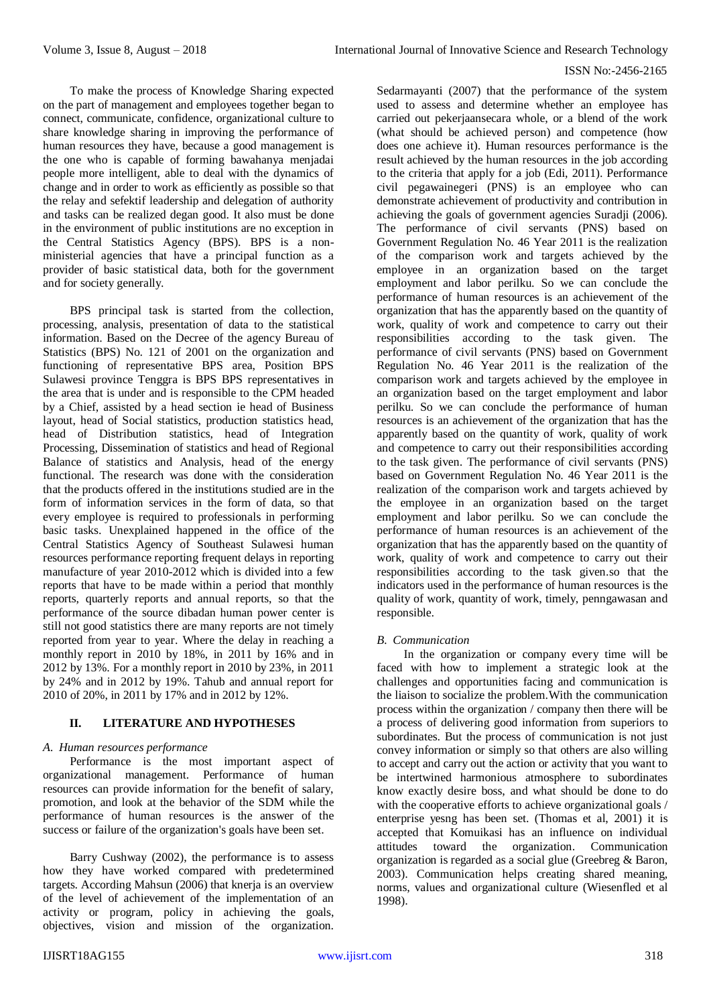To make the process of Knowledge Sharing expected on the part of management and employees together began to connect, communicate, confidence, organizational culture to share knowledge sharing in improving the performance of human resources they have, because a good management is the one who is capable of forming bawahanya menjadai people more intelligent, able to deal with the dynamics of change and in order to work as efficiently as possible so that the relay and sefektif leadership and delegation of authority and tasks can be realized degan good. It also must be done in the environment of public institutions are no exception in the Central Statistics Agency (BPS). BPS is a nonministerial agencies that have a principal function as a provider of basic statistical data, both for the government and for society generally.

BPS principal task is started from the collection, processing, analysis, presentation of data to the statistical information. Based on the Decree of the agency Bureau of Statistics (BPS) No. 121 of 2001 on the organization and functioning of representative BPS area, Position BPS Sulawesi province Tenggra is BPS BPS representatives in the area that is under and is responsible to the CPM headed by a Chief, assisted by a head section ie head of Business layout, head of Social statistics, production statistics head, head of Distribution statistics, head of Integration Processing, Dissemination of statistics and head of Regional Balance of statistics and Analysis, head of the energy functional. The research was done with the consideration that the products offered in the institutions studied are in the form of information services in the form of data, so that every employee is required to professionals in performing basic tasks. Unexplained happened in the office of the Central Statistics Agency of Southeast Sulawesi human resources performance reporting frequent delays in reporting manufacture of year 2010-2012 which is divided into a few reports that have to be made within a period that monthly reports, quarterly reports and annual reports, so that the performance of the source dibadan human power center is still not good statistics there are many reports are not timely reported from year to year. Where the delay in reaching a monthly report in 2010 by 18%, in 2011 by 16% and in 2012 by 13%. For a monthly report in 2010 by 23%, in 2011 by 24% and in 2012 by 19%. Tahub and annual report for 2010 of 20%, in 2011 by 17% and in 2012 by 12%.

## **II. LITERATURE AND HYPOTHESES**

#### *A. Human resources performance*

Performance is the most important aspect of organizational management. Performance of human resources can provide information for the benefit of salary, promotion, and look at the behavior of the SDM while the performance of human resources is the answer of the success or failure of the organization's goals have been set.

Barry Cushway (2002), the performance is to assess how they have worked compared with predetermined targets. According Mahsun (2006) that knerja is an overview of the level of achievement of the implementation of an activity or program, policy in achieving the goals, objectives, vision and mission of the organization.

Sedarmayanti (2007) that the performance of the system used to assess and determine whether an employee has carried out pekerjaansecara whole, or a blend of the work (what should be achieved person) and competence (how does one achieve it). Human resources performance is the result achieved by the human resources in the job according to the criteria that apply for a job (Edi, 2011). Performance civil pegawainegeri (PNS) is an employee who can demonstrate achievement of productivity and contribution in achieving the goals of government agencies Suradji (2006). The performance of civil servants (PNS) based on Government Regulation No. 46 Year 2011 is the realization of the comparison work and targets achieved by the employee in an organization based on the target employment and labor perilku. So we can conclude the performance of human resources is an achievement of the organization that has the apparently based on the quantity of work, quality of work and competence to carry out their responsibilities according to the task given. The performance of civil servants (PNS) based on Government Regulation No. 46 Year 2011 is the realization of the comparison work and targets achieved by the employee in an organization based on the target employment and labor perilku. So we can conclude the performance of human resources is an achievement of the organization that has the apparently based on the quantity of work, quality of work and competence to carry out their responsibilities according to the task given. The performance of civil servants (PNS) based on Government Regulation No. 46 Year 2011 is the realization of the comparison work and targets achieved by the employee in an organization based on the target employment and labor perilku. So we can conclude the performance of human resources is an achievement of the organization that has the apparently based on the quantity of work, quality of work and competence to carry out their responsibilities according to the task given.so that the indicators used in the performance of human resources is the quality of work, quantity of work, timely, penngawasan and responsible.

#### *B. Communication*

In the organization or company every time will be faced with how to implement a strategic look at the challenges and opportunities facing and communication is the liaison to socialize the problem.With the communication process within the organization / company then there will be a process of delivering good information from superiors to subordinates. But the process of communication is not just convey information or simply so that others are also willing to accept and carry out the action or activity that you want to be intertwined harmonious atmosphere to subordinates know exactly desire boss, and what should be done to do with the cooperative efforts to achieve organizational goals / enterprise yesng has been set. (Thomas et al, 2001) it is accepted that Komuikasi has an influence on individual attitudes toward the organization. Communication organization is regarded as a social glue (Greebreg & Baron, 2003). Communication helps creating shared meaning, norms, values and organizational culture (Wiesenfled et al 1998).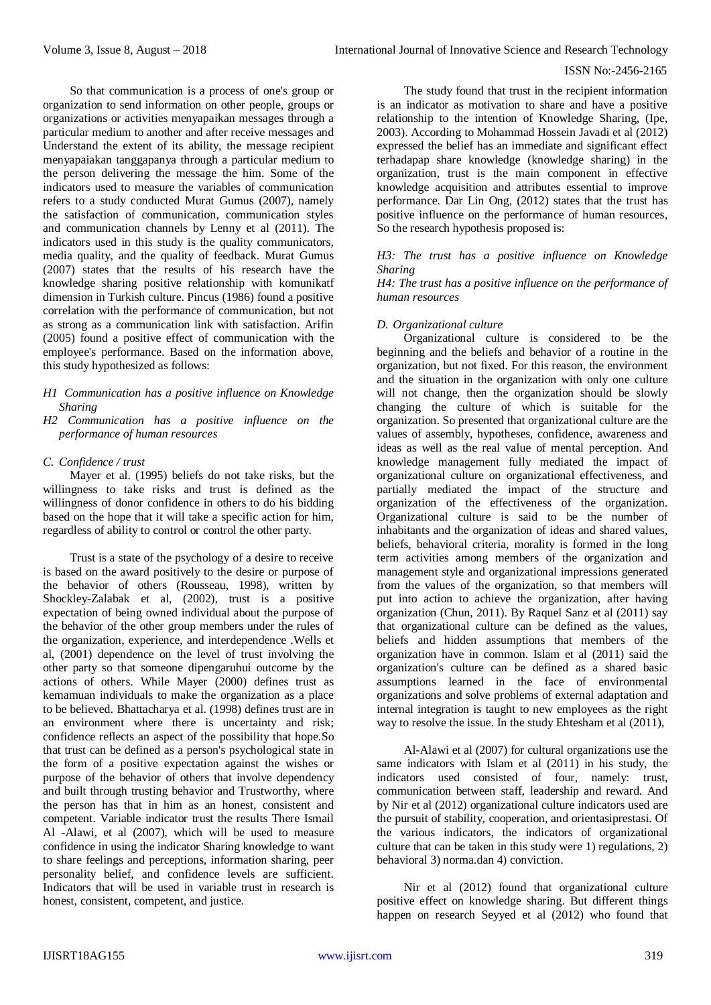So that communication is a process of one's group or organization to send information on other people, groups or organizations or activities menyapaikan messages through a particular medium to another and after receive messages and Understand the extent of its ability, the message recipient menyapaiakan tanggapanya through a particular medium to the person delivering the message the him. Some of the indicators used to measure the variables of communication refers to a study conducted Murat Gumus (2007), namely the satisfaction of communication, communication styles and communication channels by Lenny et al (2011). The indicators used in this study is the quality communicators, media quality, and the quality of feedback. Murat Gumus (2007) states that the results of his research have the knowledge sharing positive relationship with komunikatf dimension in Turkish culture. Pincus (1986) found a positive correlation with the performance of communication, but not as strong as a communication link with satisfaction. Arifin (2005) found a positive effect of communication with the employee's performance. Based on the information above, this study hypothesized as follows:

#### *H1 Communication has a positive influence on Knowledge Sharing*

*H2 Communication has a positive influence on the performance of human resources*

## *C. Confidence / trust*

Mayer et al. (1995) beliefs do not take risks, but the willingness to take risks and trust is defined as the willingness of donor confidence in others to do his bidding based on the hope that it will take a specific action for him, regardless of ability to control or control the other party.

Trust is a state of the psychology of a desire to receive is based on the award positively to the desire or purpose of the behavior of others (Rousseau, 1998), written by Shockley-Zalabak et al, (2002), trust is a positive expectation of being owned individual about the purpose of the behavior of the other group members under the rules of the organization, experience, and interdependence .Wells et al, (2001) dependence on the level of trust involving the other party so that someone dipengaruhui outcome by the actions of others. While Mayer (2000) defines trust as kemamuan individuals to make the organization as a place to be believed. Bhattacharya et al. (1998) defines trust are in an environment where there is uncertainty and risk; confidence reflects an aspect of the possibility that hope.So that trust can be defined as a person's psychological state in the form of a positive expectation against the wishes or purpose of the behavior of others that involve dependency and built through trusting behavior and Trustworthy, where the person has that in him as an honest, consistent and competent. Variable indicator trust the results There Ismail Al -Alawi, et al (2007), which will be used to measure confidence in using the indicator Sharing knowledge to want to share feelings and perceptions, information sharing, peer personality belief, and confidence levels are sufficient. Indicators that will be used in variable trust in research is honest, consistent, competent, and justice.

The study found that trust in the recipient information is an indicator as motivation to share and have a positive relationship to the intention of Knowledge Sharing, (Ipe, 2003). According to Mohammad Hossein Javadi et al (2012) expressed the belief has an immediate and significant effect terhadapap share knowledge (knowledge sharing) in the organization, trust is the main component in effective knowledge acquisition and attributes essential to improve performance. Dar Lin Ong, (2012) states that the trust has positive influence on the performance of human resources, So the research hypothesis proposed is:

#### *H3: The trust has a positive influence on Knowledge Sharing*

*H4: The trust has a positive influence on the performance of human resources*

## *D. Organizational culture*

Organizational culture is considered to be the beginning and the beliefs and behavior of a routine in the organization, but not fixed. For this reason, the environment and the situation in the organization with only one culture will not change, then the organization should be slowly changing the culture of which is suitable for the organization. So presented that organizational culture are the values of assembly, hypotheses, confidence, awareness and ideas as well as the real value of mental perception. And knowledge management fully mediated the impact of organizational culture on organizational effectiveness, and partially mediated the impact of the structure and organization of the effectiveness of the organization. Organizational culture is said to be the number of inhabitants and the organization of ideas and shared values, beliefs, behavioral criteria, morality is formed in the long term activities among members of the organization and management style and organizational impressions generated from the values of the organization, so that members will put into action to achieve the organization, after having organization (Chun, 2011). By Raquel Sanz et al (2011) say that organizational culture can be defined as the values, beliefs and hidden assumptions that members of the organization have in common. Islam et al (2011) said the organization's culture can be defined as a shared basic assumptions learned in the face of environmental organizations and solve problems of external adaptation and internal integration is taught to new employees as the right way to resolve the issue. In the study Ehtesham et al (2011),

Al-Alawi et al (2007) for cultural organizations use the same indicators with Islam et al (2011) in his study, the indicators used consisted of four, namely: trust, communication between staff, leadership and reward. And by Nir et al (2012) organizational culture indicators used are the pursuit of stability, cooperation, and orientasiprestasi. Of the various indicators, the indicators of organizational culture that can be taken in this study were 1) regulations, 2) behavioral 3) norma.dan 4) conviction.

Nir et al (2012) found that organizational culture positive effect on knowledge sharing. But different things happen on research Seyyed et al (2012) who found that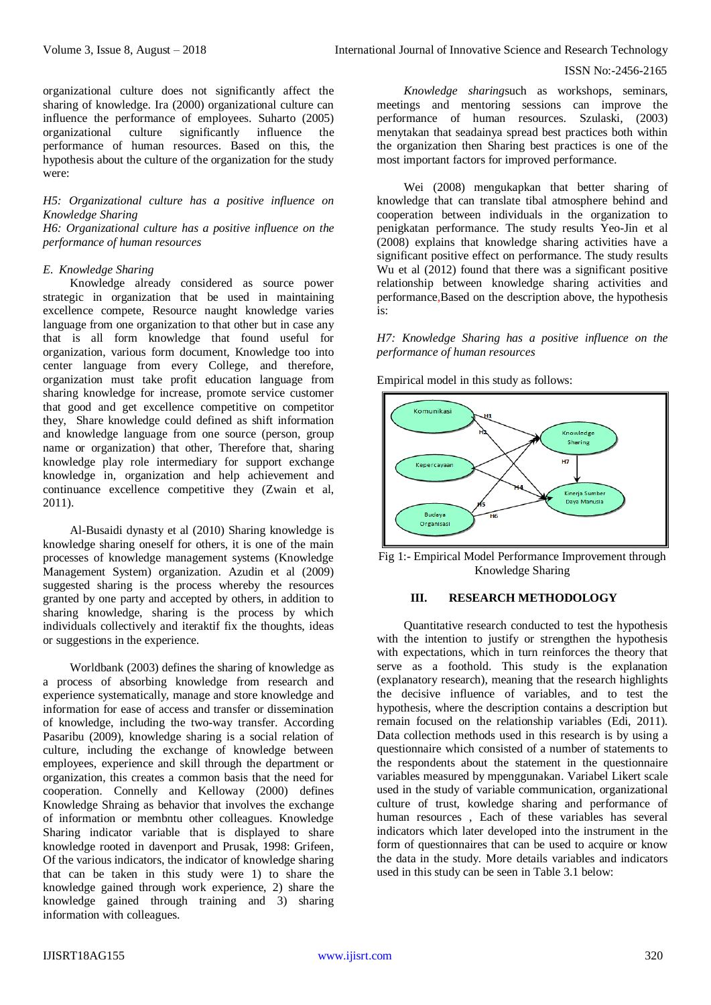organizational culture does not significantly affect the sharing of knowledge. Ira (2000) organizational culture can influence the performance of employees. Suharto (2005) organizational culture significantly influence the performance of human resources. Based on this, the hypothesis about the culture of the organization for the study were:

## *H5: Organizational culture has a positive influence on Knowledge Sharing*

*H6: Organizational culture has a positive influence on the performance of human resources*

#### *E. Knowledge Sharing*

Knowledge already considered as source power strategic in organization that be used in maintaining excellence compete, Resource naught knowledge varies language from one organization to that other but in case any that is all form knowledge that found useful for organization, various form document, Knowledge too into center language from every College, and therefore, organization must take profit education language from sharing knowledge for increase, promote service customer that good and get excellence competitive on competitor they, Share knowledge could defined as shift information and knowledge language from one source (person, group name or organization) that other, Therefore that, sharing knowledge play role intermediary for support exchange knowledge in, organization and help achievement and continuance excellence competitive they (Zwain et al, 2011).

Al-Busaidi dynasty et al (2010) Sharing knowledge is knowledge sharing oneself for others, it is one of the main processes of knowledge management systems (Knowledge Management System) organization. Azudin et al (2009) suggested sharing is the process whereby the resources granted by one party and accepted by others, in addition to sharing knowledge, sharing is the process by which individuals collectively and iteraktif fix the thoughts, ideas or suggestions in the experience.

Worldbank (2003) defines the sharing of knowledge as a process of absorbing knowledge from research and experience systematically, manage and store knowledge and information for ease of access and transfer or dissemination of knowledge, including the two-way transfer. According Pasaribu (2009), knowledge sharing is a social relation of culture, including the exchange of knowledge between employees, experience and skill through the department or organization, this creates a common basis that the need for cooperation. Connelly and Kelloway (2000) defines Knowledge Shraing as behavior that involves the exchange of information or membntu other colleagues. Knowledge Sharing indicator variable that is displayed to share knowledge rooted in davenport and Prusak, 1998: Grifeen, Of the various indicators, the indicator of knowledge sharing that can be taken in this study were 1) to share the knowledge gained through work experience, 2) share the knowledge gained through training and 3) sharing information with colleagues.

*Knowledge sharing*such as workshops, seminars, meetings and mentoring sessions can improve the performance of human resources. Szulaski, (2003) menytakan that seadainya spread best practices both within the organization then Sharing best practices is one of the most important factors for improved performance.

Wei (2008) mengukapkan that better sharing of knowledge that can translate tibal atmosphere behind and cooperation between individuals in the organization to penigkatan performance. The study results Yeo-Jin et al (2008) explains that knowledge sharing activities have a significant positive effect on performance. The study results Wu et al (2012) found that there was a significant positive relationship between knowledge sharing activities and performance,Based on the description above, the hypothesis is:

*H7: Knowledge Sharing has a positive influence on the performance of human resources*

Empirical model in this study as follows:



Fig 1:- Empirical Model Performance Improvement through Knowledge Sharing

## **III. RESEARCH METHODOLOGY**

Quantitative research conducted to test the hypothesis with the intention to justify or strengthen the hypothesis with expectations, which in turn reinforces the theory that serve as a foothold. This study is the explanation (explanatory research), meaning that the research highlights the decisive influence of variables, and to test the hypothesis, where the description contains a description but remain focused on the relationship variables (Edi, 2011). Data collection methods used in this research is by using a questionnaire which consisted of a number of statements to the respondents about the statement in the questionnaire variables measured by mpenggunakan. Variabel Likert scale used in the study of variable communication, organizational culture of trust, kowledge sharing and performance of human resources , Each of these variables has several indicators which later developed into the instrument in the form of questionnaires that can be used to acquire or know the data in the study. More details variables and indicators used in this study can be seen in Table 3.1 below: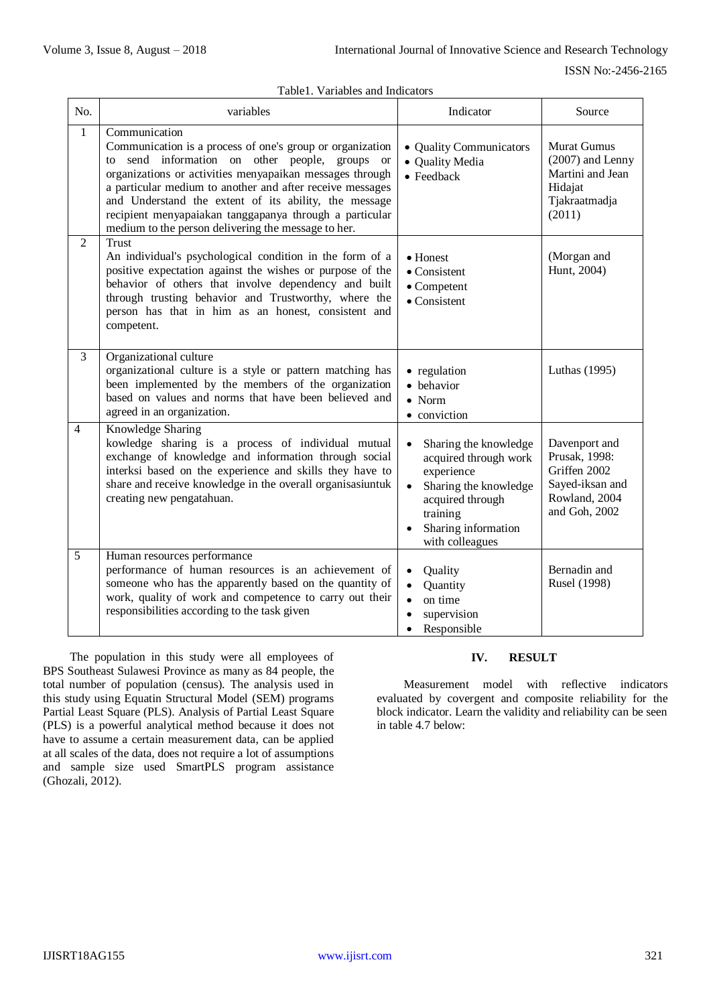|  | Table1. Variables and Indicators |  |
|--|----------------------------------|--|
|--|----------------------------------|--|

| No.            | variables                                                                                                                                                                                                                                                                                                                                                                                                                        | Indicator                                                                                                                                                                                 | Source                                                                                              |
|----------------|----------------------------------------------------------------------------------------------------------------------------------------------------------------------------------------------------------------------------------------------------------------------------------------------------------------------------------------------------------------------------------------------------------------------------------|-------------------------------------------------------------------------------------------------------------------------------------------------------------------------------------------|-----------------------------------------------------------------------------------------------------|
| $\mathbf{1}$   | Communication<br>Communication is a process of one's group or organization<br>to send information on other people, groups or<br>organizations or activities menyapaikan messages through<br>a particular medium to another and after receive messages<br>and Understand the extent of its ability, the message<br>recipient menyapaiakan tanggapanya through a particular<br>medium to the person delivering the message to her. | • Quality Communicators<br>• Quality Media<br>$\bullet$ Feedback                                                                                                                          | <b>Murat Gumus</b><br>$(2007)$ and Lenny<br>Martini and Jean<br>Hidajat<br>Tjakraatmadja<br>(2011)  |
| 2              | Trust<br>An individual's psychological condition in the form of a<br>positive expectation against the wishes or purpose of the<br>behavior of others that involve dependency and built<br>through trusting behavior and Trustworthy, where the<br>person has that in him as an honest, consistent and<br>competent.                                                                                                              | • Honest<br>$\bullet$ Consistent<br>$\bullet$ Competent<br>$\bullet$ Consistent                                                                                                           | (Morgan and<br>Hunt, 2004)                                                                          |
| 3              | Organizational culture<br>organizational culture is a style or pattern matching has<br>been implemented by the members of the organization<br>based on values and norms that have been believed and<br>agreed in an organization.                                                                                                                                                                                                | • regulation<br>• behavior<br>$\bullet$ Norm<br>• conviction                                                                                                                              | Luthas (1995)                                                                                       |
| $\overline{4}$ | Knowledge Sharing<br>kowledge sharing is a process of individual mutual<br>exchange of knowledge and information through social<br>interksi based on the experience and skills they have to<br>share and receive knowledge in the overall organisasiuntuk<br>creating new pengatahuan.                                                                                                                                           | Sharing the knowledge<br>$\bullet$<br>acquired through work<br>experience<br>Sharing the knowledge<br>$\bullet$<br>acquired through<br>training<br>Sharing information<br>with colleagues | Davenport and<br>Prusak, 1998:<br>Griffen 2002<br>Sayed-iksan and<br>Rowland, 2004<br>and Goh, 2002 |
| 5              | Human resources performance<br>performance of human resources is an achievement of<br>someone who has the apparently based on the quantity of<br>work, quality of work and competence to carry out their<br>responsibilities according to the task given                                                                                                                                                                         | Quality<br>$\bullet$<br>Quantity<br>$\bullet$<br>on time<br>$\bullet$<br>supervision<br>$\bullet$<br>Responsible<br>$\bullet$                                                             | Bernadin and<br>Rusel (1998)                                                                        |

The population in this study were all employees of BPS Southeast Sulawesi Province as many as 84 people, the total number of population (census). The analysis used in this study using Equatin Structural Model (SEM) programs Partial Least Square (PLS). Analysis of Partial Least Square (PLS) is a powerful analytical method because it does not have to assume a certain measurement data, can be applied at all scales of the data, does not require a lot of assumptions and sample size used SmartPLS program assistance (Ghozali, 2012).

## **IV. RESULT**

Measurement model with reflective indicators evaluated by covergent and composite reliability for the block indicator. Learn the validity and reliability can be seen in table 4.7 below: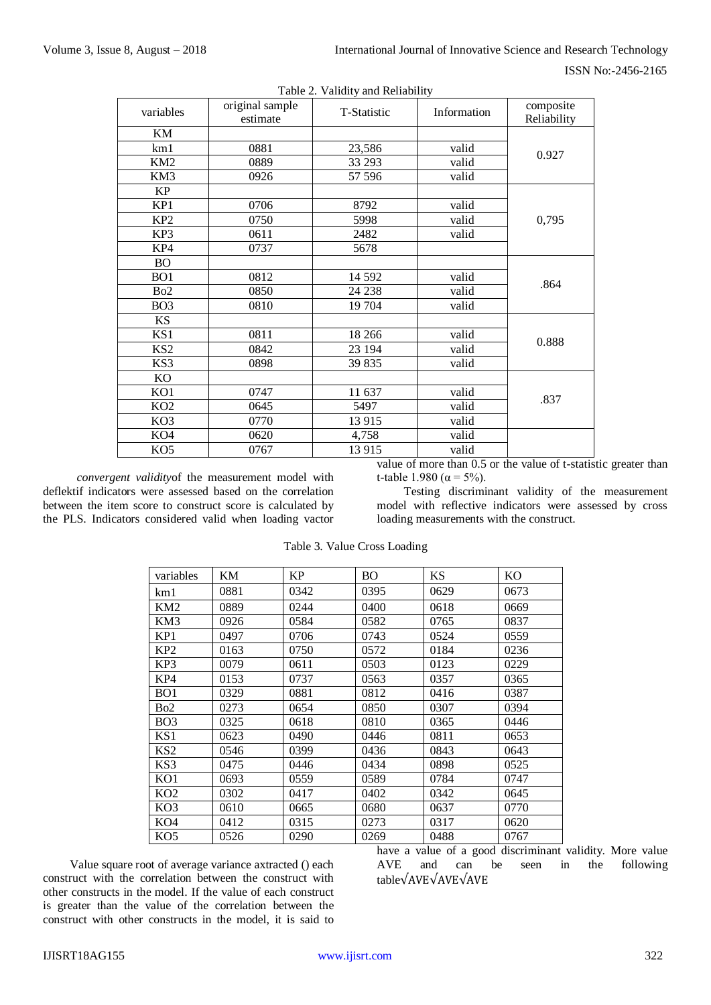| ISSN No:-2456-2165 |
|--------------------|
|                    |

| variables       | original sample<br>estimate | T-Statistic | Information | composite<br>Reliability |  |
|-----------------|-----------------------------|-------------|-------------|--------------------------|--|
| KM              |                             |             |             |                          |  |
| km1             | 0881                        | 23,586      | valid       | 0.927                    |  |
| KM <sub>2</sub> | 0889                        | 33 29 3     |             |                          |  |
| KM3             | 0926                        | 57 596      | valid       |                          |  |
| <b>KP</b>       |                             |             |             |                          |  |
| KP1             | 0706                        | 8792        | valid       |                          |  |
| KP <sub>2</sub> | 0750                        | 5998        | valid       | 0,795                    |  |
| KP3             | 0611                        | 2482        | valid       |                          |  |
| KP4             | 0737                        | 5678        |             |                          |  |
| <b>BO</b>       |                             |             |             |                          |  |
| BO <sub>1</sub> | 0812                        | 14 5 92     | valid       | .864                     |  |
| Bo <sub>2</sub> | 0850                        | 24 238      | valid       |                          |  |
| BO <sub>3</sub> | 0810                        | 19 704      | valid       |                          |  |
| <b>KS</b>       |                             |             |             |                          |  |
| KS1             | 0811                        | 18 26 6     | valid       | 0.888                    |  |
| KS <sub>2</sub> | 0842                        | 23 194      | valid       |                          |  |
| KS3             | 0898                        | 39 835      | valid       |                          |  |
| KO              |                             |             |             |                          |  |
| KO1             | 0747                        | 11 637      | valid       | .837                     |  |
| KO <sub>2</sub> | 0645                        | 5497        | valid       |                          |  |
| KO <sub>3</sub> | 0770                        | 13 915      | valid       |                          |  |
| KO <sub>4</sub> | 0620                        | 4,758       | valid       |                          |  |
| KO <sub>5</sub> | 0767                        | 13 915      | valid       |                          |  |

Table 2. Validity and Reliability

*convergent validity*of the measurement model with deflektif indicators were assessed based on the correlation between the item score to construct score is calculated by the PLS. Indicators considered valid when loading vactor

value of more than 0.5 or the value of t-statistic greater than t-table 1.980 ( $\alpha$  = 5%).

Testing discriminant validity of the measurement model with reflective indicators were assessed by cross loading measurements with the construct.

| variables        | KM   | KP   | <b>BO</b> | <b>KS</b> | KO   |
|------------------|------|------|-----------|-----------|------|
| km1              | 0881 | 0342 | 0395      | 0629      | 0673 |
| KM2              | 0889 | 0244 | 0400      | 0618      | 0669 |
| KM3              | 0926 | 0584 | 0582      | 0765      | 0837 |
| KP <sub>1</sub>  | 0497 | 0706 | 0743      | 0524      | 0559 |
| KP <sub>2</sub>  | 0163 | 0750 | 0572      | 0184      | 0236 |
| KP3              | 0079 | 0611 | 0503      | 0123      | 0229 |
| KP4              | 0153 | 0737 | 0563      | 0357      | 0365 |
| BO <sub>1</sub>  | 0329 | 0881 | 0812      | 0416      | 0387 |
| B <sub>o</sub> 2 | 0273 | 0654 | 0850      | 0307      | 0394 |
| BO <sub>3</sub>  | 0325 | 0618 | 0810      | 0365      | 0446 |
| KS1              | 0623 | 0490 | 0446      | 0811      | 0653 |
| KS <sub>2</sub>  | 0546 | 0399 | 0436      | 0843      | 0643 |
| KS3              | 0475 | 0446 | 0434      | 0898      | 0525 |
| KO1              | 0693 | 0559 | 0589      | 0784      | 0747 |
| KO <sub>2</sub>  | 0302 | 0417 | 0402      | 0342      | 0645 |
| KO <sub>3</sub>  | 0610 | 0665 | 0680      | 0637      | 0770 |
| KO <sub>4</sub>  | 0412 | 0315 | 0273      | 0317      | 0620 |
| KO <sub>5</sub>  | 0526 | 0290 | 0269      | 0488      | 0767 |

Table 3. Value Cross Loading

Value square root of average variance axtracted () each construct with the correlation between the construct with other constructs in the model. If the value of each construct is greater than the value of the correlation between the construct with other constructs in the model, it is said to have a value of a good discriminant validity. More value AVE and can be seen in the following table√AVE√AVE√AVE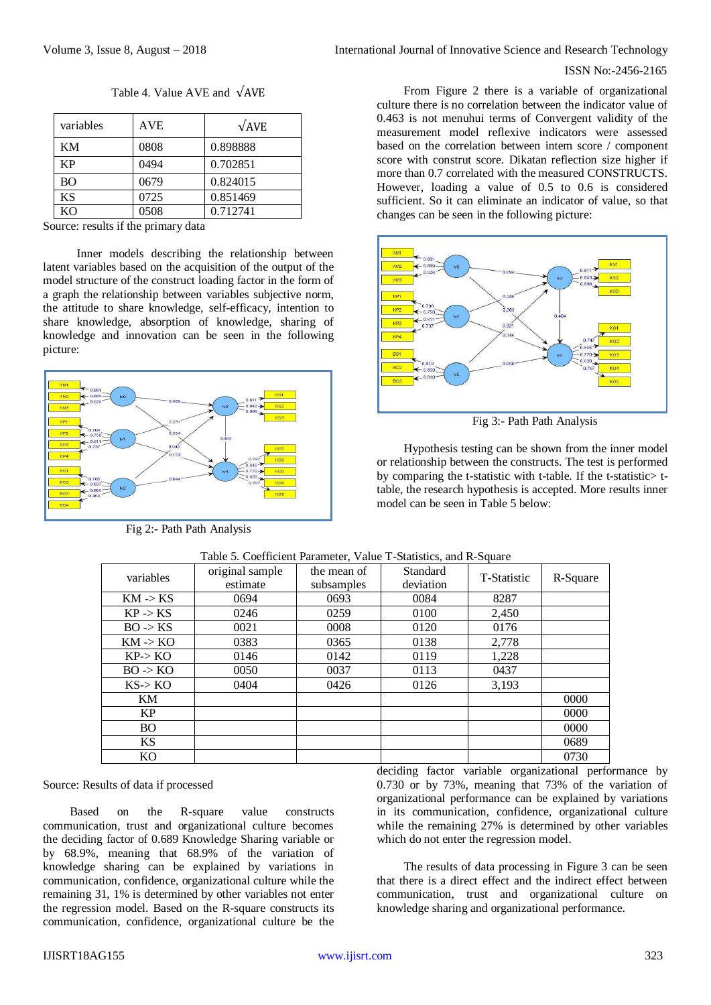Table 4. Value AVE and √AVE

| variables | <b>AVE</b> | $\sqrt{AVE}$ |
|-----------|------------|--------------|
| KМ        | 0808       | 0.898888     |
| <b>KP</b> | 0494       | 0.702851     |
| <b>BO</b> | 0679       | 0.824015     |
| <b>KS</b> | 0725       | 0.851469     |
| KΟ        | 0508       | 0.712741     |

Source: results if the primary data

Inner models describing the relationship between latent variables based on the acquisition of the output of the model structure of the construct loading factor in the form of a graph the relationship between variables subjective norm, the attitude to share knowledge, self-efficacy, intention to share knowledge, absorption of knowledge, sharing of knowledge and innovation can be seen in the following picture:



Fig 2:- Path Path Analysis

From Figure 2 there is a variable of organizational culture there is no correlation between the indicator value of 0.463 is not menuhui terms of Convergent validity of the measurement model reflexive indicators were assessed based on the correlation between intem score / component score with construt score. Dikatan reflection size higher if more than 0.7 correlated with the measured CONSTRUCTS. However, loading a value of 0.5 to 0.6 is considered sufficient. So it can eliminate an indicator of value, so that changes can be seen in the following picture:



Fig 3:- Path Path Analysis

Hypothesis testing can be shown from the inner model or relationship between the constructs. The test is performed by comparing the t-statistic with t-table. If the t-statistic> ttable, the research hypothesis is accepted. More results inner model can be seen in Table 5 below:

| variables           | original sample<br>estimate | the mean of<br>subsamples | Standard<br>deviation | T-Statistic | R-Square |
|---------------------|-----------------------------|---------------------------|-----------------------|-------------|----------|
| $KM \rightarrow KS$ | 0694                        | 0693                      | 0084                  | 8287        |          |
| $KP \rightarrow KS$ | 0246                        | 0259                      | 0100                  | 2,450       |          |
| $BO \rightarrow KS$ | 0021                        | 0008                      | 0120                  | 0176        |          |
| $KM \rightarrow KO$ | 0383                        | 0365                      | 0138                  | 2,778       |          |
| $KP\rightarrow KO$  | 0146                        | 0142                      | 0119                  | 1,228       |          |
| $BO \rightarrow KO$ | 0050                        | 0037                      | 0113                  | 0437        |          |
| $KS \rightarrow KO$ | 0404                        | 0426                      | 0126                  | 3,193       |          |
| KM                  |                             |                           |                       |             | 0000     |
| KP                  |                             |                           |                       |             | 0000     |
| <b>BO</b>           |                             |                           |                       |             | 0000     |
| <b>KS</b>           |                             |                           |                       |             | 0689     |
| KO                  |                             |                           |                       |             | 0730     |

Table 5. Coefficient Parameter, Value T-Statistics, and R-Square

#### Source: Results of data if processed

Based on the R-square value constructs communication, trust and organizational culture becomes the deciding factor of 0.689 Knowledge Sharing variable or by 68.9%, meaning that 68.9% of the variation of knowledge sharing can be explained by variations in communication, confidence, organizational culture while the remaining 31, 1% is determined by other variables not enter the regression model. Based on the R-square constructs its communication, confidence, organizational culture be the

deciding factor variable organizational performance by 0.730 or by 73%, meaning that 73% of the variation of organizational performance can be explained by variations in its communication, confidence, organizational culture while the remaining 27% is determined by other variables which do not enter the regression model.

The results of data processing in Figure 3 can be seen that there is a direct effect and the indirect effect between communication, trust and organizational culture on knowledge sharing and organizational performance.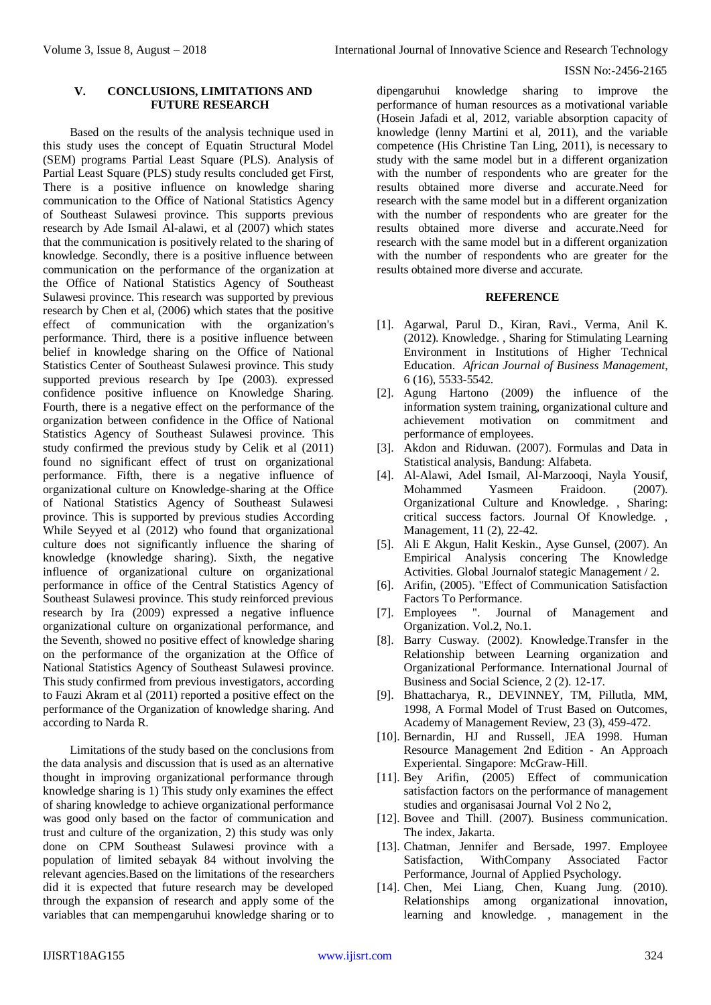## **V. CONCLUSIONS, LIMITATIONS AND FUTURE RESEARCH**

Based on the results of the analysis technique used in this study uses the concept of Equatin Structural Model (SEM) programs Partial Least Square (PLS). Analysis of Partial Least Square (PLS) study results concluded get First, There is a positive influence on knowledge sharing communication to the Office of National Statistics Agency of Southeast Sulawesi province. This supports previous research by Ade Ismail Al-alawi, et al (2007) which states that the communication is positively related to the sharing of knowledge. Secondly, there is a positive influence between communication on the performance of the organization at the Office of National Statistics Agency of Southeast Sulawesi province. This research was supported by previous research by Chen et al, (2006) which states that the positive effect of communication with the organization's performance. Third, there is a positive influence between belief in knowledge sharing on the Office of National Statistics Center of Southeast Sulawesi province. This study supported previous research by Ipe (2003). expressed confidence positive influence on Knowledge Sharing. Fourth, there is a negative effect on the performance of the organization between confidence in the Office of National Statistics Agency of Southeast Sulawesi province. This study confirmed the previous study by Celik et al (2011) found no significant effect of trust on organizational performance. Fifth, there is a negative influence of organizational culture on Knowledge-sharing at the Office of National Statistics Agency of Southeast Sulawesi province. This is supported by previous studies According While Seyyed et al (2012) who found that organizational culture does not significantly influence the sharing of knowledge (knowledge sharing). Sixth, the negative influence of organizational culture on organizational performance in office of the Central Statistics Agency of Southeast Sulawesi province. This study reinforced previous research by Ira (2009) expressed a negative influence organizational culture on organizational performance, and the Seventh, showed no positive effect of knowledge sharing on the performance of the organization at the Office of National Statistics Agency of Southeast Sulawesi province. This study confirmed from previous investigators, according to Fauzi Akram et al (2011) reported a positive effect on the performance of the Organization of knowledge sharing. And according to Narda R.

Limitations of the study based on the conclusions from the data analysis and discussion that is used as an alternative thought in improving organizational performance through knowledge sharing is 1) This study only examines the effect of sharing knowledge to achieve organizational performance was good only based on the factor of communication and trust and culture of the organization, 2) this study was only done on CPM Southeast Sulawesi province with a population of limited sebayak 84 without involving the relevant agencies.Based on the limitations of the researchers did it is expected that future research may be developed through the expansion of research and apply some of the variables that can mempengaruhui knowledge sharing or to

dipengaruhui knowledge sharing to improve the performance of human resources as a motivational variable (Hosein Jafadi et al, 2012, variable absorption capacity of knowledge (lenny Martini et al, 2011), and the variable competence (His Christine Tan Ling, 2011), is necessary to study with the same model but in a different organization with the number of respondents who are greater for the results obtained more diverse and accurate.Need for research with the same model but in a different organization with the number of respondents who are greater for the results obtained more diverse and accurate.Need for research with the same model but in a different organization with the number of respondents who are greater for the results obtained more diverse and accurate.

#### **REFERENCE**

- [1]. Agarwal, Parul D., Kiran, Ravi., Verma, Anil K. (2012). Knowledge. , Sharing for Stimulating Learning Environment in Institutions of Higher Technical Education. *African Journal of Business Management*, 6 (16), 5533-5542.
- [2]. Agung Hartono (2009) the influence of the information system training, organizational culture and achievement motivation on commitment and performance of employees.
- [3]. Akdon and Riduwan. (2007). Formulas and Data in Statistical analysis, Bandung: Alfabeta.
- [4]. Al-Alawi, Adel Ismail, Al-Marzooqi, Nayla Yousif, Mohammed Yasmeen Fraidoon. (2007). Organizational Culture and Knowledge. , Sharing: critical success factors. Journal Of Knowledge. , Management, 11 (2), 22-42.
- [5]. Ali E Akgun, Halit Keskin., Ayse Gunsel, (2007). An Empirical Analysis concering The Knowledge Activities. Global Journalof stategic Management / 2.
- [6]. Arifin, (2005). "Effect of Communication Satisfaction Factors To Performance.
- [7]. Employees ". Journal of Management and Organization. Vol.2, No.1.
- [8]. Barry Cusway. (2002). Knowledge.Transfer in the Relationship between Learning organization and Organizational Performance. International Journal of Business and Social Science, 2 (2). 12-17.
- [9]. Bhattacharya, R., DEVINNEY, TM, Pillutla, MM, 1998, A Formal Model of Trust Based on Outcomes, Academy of Management Review, 23 (3), 459-472.
- [10]. Bernardin, HJ and Russell, JEA 1998. Human Resource Management 2nd Edition - An Approach Experiental. Singapore: McGraw-Hill.
- [11]. Bey Arifin, (2005) Effect of communication satisfaction factors on the performance of management studies and organisasai Journal Vol 2 No 2,
- [12]. Bovee and Thill. (2007). Business communication. The index, Jakarta.
- [13]. Chatman, Jennifer and Bersade, 1997. Employee Satisfaction, WithCompany Associated Factor Performance, Journal of Applied Psychology.
- [14]. Chen, Mei Liang, Chen, Kuang Jung. (2010). Relationships among organizational innovation, learning and knowledge. , management in the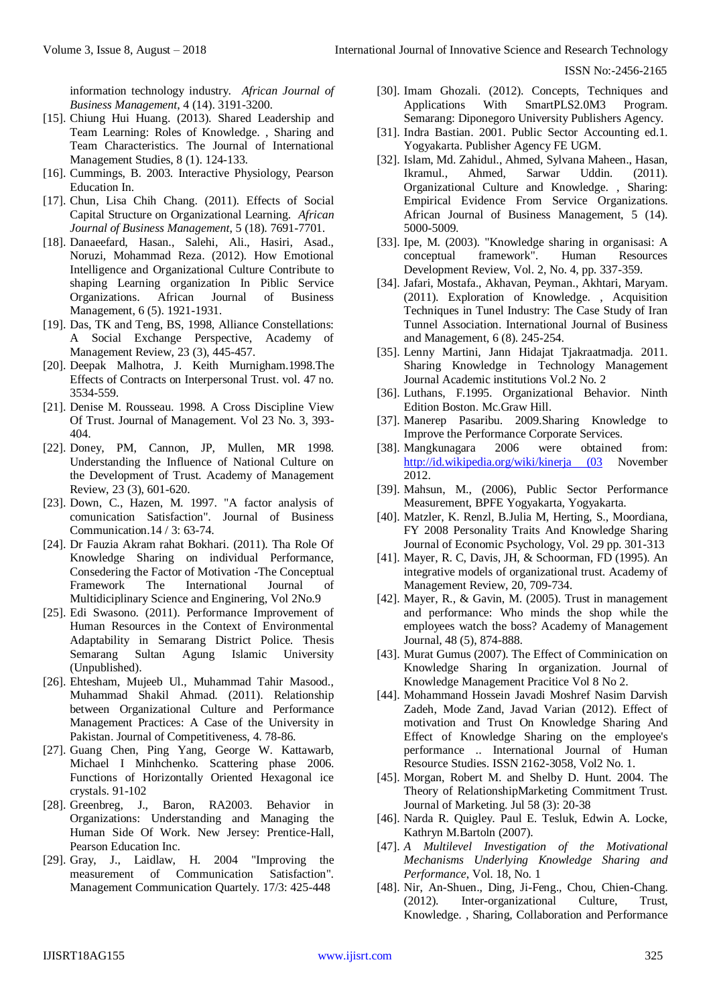information technology industry. *African Journal of Business Management*, 4 (14). 3191-3200.

- [15]. Chiung Hui Huang. (2013). Shared Leadership and Team Learning: Roles of Knowledge. , Sharing and Team Characteristics. The Journal of International Management Studies, 8 (1). 124-133.
- [16]. Cummings, B. 2003. Interactive Physiology, Pearson Education In.
- [17]. Chun, Lisa Chih Chang. (2011). Effects of Social Capital Structure on Organizational Learning. *African Journal of Business Management*, 5 (18). 7691-7701.
- [18]. Danaeefard, Hasan., Salehi, Ali., Hasiri, Asad., Noruzi, Mohammad Reza. (2012). How Emotional Intelligence and Organizational Culture Contribute to shaping Learning organization In Piblic Service Organizations. African Journal of Business Management, 6 (5). 1921-1931.
- [19]. Das, TK and Teng, BS, 1998, Alliance Constellations: A Social Exchange Perspective, Academy of Management Review, 23 (3), 445-457.
- [20]. Deepak Malhotra, J. Keith Murnigham.1998.The Effects of Contracts on Interpersonal Trust. vol. 47 no. 3534-559.
- [21]. Denise M. Rousseau. 1998. A Cross Discipline View Of Trust. Journal of Management. Vol 23 No. 3, 393- 404.
- [22]. Doney, PM, Cannon, JP, Mullen, MR 1998. Understanding the Influence of National Culture on the Development of Trust. Academy of Management Review, 23 (3), 601-620.
- [23]. Down, C., Hazen, M. 1997. "A factor analysis of comunication Satisfaction". Journal of Business Communication.14 / 3: 63-74.
- [24]. Dr Fauzia Akram rahat Bokhari. (2011). Tha Role Of Knowledge Sharing on individual Performance, Consedering the Factor of Motivation -The Conceptual Framework The International Journal of Multidiciplinary Science and Enginering, Vol 2No.9
- [25]. Edi Swasono. (2011). Performance Improvement of Human Resources in the Context of Environmental Adaptability in Semarang District Police. Thesis Semarang Sultan Agung Islamic University (Unpublished).
- [26]. Ehtesham, Mujeeb Ul., Muhammad Tahir Masood., Muhammad Shakil Ahmad. (2011). Relationship between Organizational Culture and Performance Management Practices: A Case of the University in Pakistan. Journal of Competitiveness, 4. 78-86.
- [27]. Guang Chen, Ping Yang, George W. Kattawarb, Michael I Minhchenko. Scattering phase 2006. Functions of Horizontally Oriented Hexagonal ice crystals. 91-102
- [28]. Greenbreg, J., Baron, RA2003. Behavior in Organizations: Understanding and Managing the Human Side Of Work. New Jersey: Prentice-Hall, Pearson Education Inc.
- [29]. Gray, J., Laidlaw, H. 2004 "Improving the measurement of Communication Satisfaction". Management Communication Quartely. 17/3: 425-448
- [30]. Imam Ghozali. (2012). Concepts, Techniques and Applications With SmartPLS2.0M3 Program. Semarang: Diponegoro University Publishers Agency.
- [31]. Indra Bastian. 2001. Public Sector Accounting ed.1. Yogyakarta. Publisher Agency FE UGM.
- [32]. Islam, Md. Zahidul., Ahmed, Sylvana Maheen., Hasan, Ikramul., Ahmed, Sarwar Uddin. (2011). Organizational Culture and Knowledge. , Sharing: Empirical Evidence From Service Organizations. African Journal of Business Management, 5 (14). 5000-5009.
- [33]. Ipe, M. (2003). "Knowledge sharing in organisasi: A conceptual framework". Human Resources Development Review, Vol. 2, No. 4, pp. 337-359.
- [34]. Jafari, Mostafa., Akhavan, Peyman., Akhtari, Maryam. (2011). Exploration of Knowledge. , Acquisition Techniques in Tunel Industry: The Case Study of Iran Tunnel Association. International Journal of Business and Management, 6 (8). 245-254.
- [35]. Lenny Martini, Jann Hidajat Tjakraatmadja. 2011. Sharing Knowledge in Technology Management Journal Academic institutions Vol.2 No. 2
- [36]. Luthans, F.1995. Organizational Behavior. Ninth Edition Boston. Mc.Graw Hill.
- [37]. Manerep Pasaribu. 2009.Sharing Knowledge to Improve the Performance Corporate Services.
- [38]. Mangkunagara 2006 were obtained from: [http://id.wikipedia.org/wiki/kinerja \(03](http://id.wikipedia.org/wiki/kinerja%20(03) November 2012.
- [39]. Mahsun, M., (2006), Public Sector Performance Measurement, BPFE Yogyakarta, Yogyakarta.
- [40]. Matzler, K. Renzl, B.Julia M, Herting, S., Moordiana, FY 2008 Personality Traits And Knowledge Sharing Journal of Economic Psychology, Vol. 29 pp. 301-313
- [41]. Mayer, R. C, Davis, JH, & Schoorman, FD (1995). An integrative models of organizational trust. Academy of Management Review, 20, 709-734.
- [42]. Mayer, R., & Gavin, M. (2005). Trust in management and performance: Who minds the shop while the employees watch the boss? Academy of Management Journal, 48 (5), 874-888.
- [43]. Murat Gumus (2007). The Effect of Comminication on Knowledge Sharing In organization. Journal of Knowledge Management Pracitice Vol 8 No 2.
- [44]. Mohammand Hossein Javadi Moshref Nasim Darvish Zadeh, Mode Zand, Javad Varian (2012). Effect of motivation and Trust On Knowledge Sharing And Effect of Knowledge Sharing on the employee's performance .. International Journal of Human Resource Studies. ISSN 2162-3058, Vol2 No. 1.
- [45]. Morgan, Robert M. and Shelby D. Hunt. 2004. The Theory of RelationshipMarketing Commitment Trust. Journal of Marketing. Jul 58 (3): 20-38
- [46]. Narda R. Quigley. Paul E. Tesluk, Edwin A. Locke, Kathryn M.Bartoln (2007).
- [47]. *A Multilevel Investigation of the Motivational Mechanisms Underlying Knowledge Sharing and Performance*, Vol. 18, No. 1
- [48]. Nir, An-Shuen., Ding, Ji-Feng., Chou, Chien-Chang. (2012). Inter-organizational Culture, Trust, Knowledge. , Sharing, Collaboration and Performance